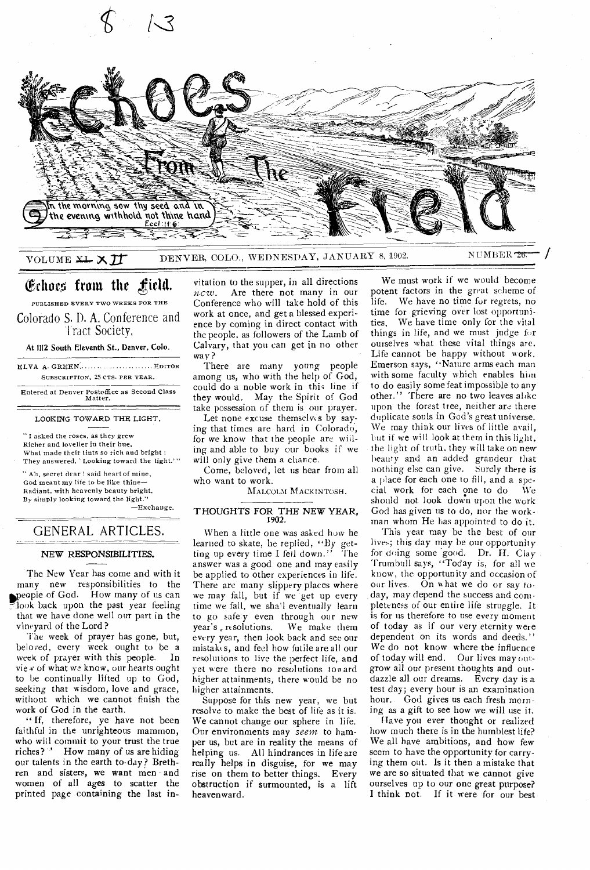

VOLUME XL X II DENVER, COLO., WEDNESDAY, JANUARY 8, 1902. NUMBER 78

# Echoes from the  $\mathbf f$ ield.

PUBLISHED EVERY TWO WEEKS FOR THE Colorado S. I). A. Conference and I ract Society,

At 1112 South Eleventh St., Denver, Colo.

ELVA A. GREEN............................. EDITOR SUBSCRIPTION, 25 CTS. PER YEAR.

Entered at Denver Postoffice as Second Class Matter.

#### LOOKING TOWARD THE LIGHT.

" I asked the roses, as they grew Richer and lovelier in their hue, What made their tints so rich and bright ; They answered, 'Looking toward the light.'"

" Ali, secret dear ! said heart of mine, God meant my life to be like thine— Radiant, with heavenly beauty bright, By simply looking toward the light."

—Exchange.

# GENERAL ARTICLES.

## NEW RESPONSIBILITIES.

The New Year has come and with it many new responsibilities to the people of God. How many of us can look back upon the past year feeling that we have done well our part in the vineyard of the Lord ?

The week of prayer has gone, but, beloved, every week ought to be a<br>week of prayer with this people. In week of prayer with this people. vie *v* of what we know, our hearts ought to be continually lifted up to God, seeking that wisdom, love and grace, without which we cannot finish the work of God in the earth.

" If, therefore, ye have not been faithful in the unrighteous mammon, who will commit to your trust the true<br>riches?  $\cdot$  How many of us are hiding How many of us are hiding our talents in the earth to-day? Brethren and sisters, we want men - and women of all ages to scatter the printed page containing the last invitation to the supper, in all directions *ncw.* Are there not many in our Conference who will take hold of this work at once, and get a blessed experience by coming in direct contact with the people, as followers of the Lamb of Calvary, that you can get in no other way ?

There are many young people among us, who with the help of God, could do a noble work in this line if they would. May the Spirit of God take possession of them is our prayer.<br>Let none excuse themselves by say-

ing that times are hard in Colorado, for we know that the people are willing and able to buy our books if we will only give them a chance.

Come, beloved, let us hear from all who want to work.

MALCOLM MACKINTOSH.

# THOUGHTS FOR THE NEW YEAR, 1902.

When a little one was asked how he learned to skate, he replied, "By getting up every time I fell down." The answer was a good one and may easily be applied to other experiences in life. There are many slippery places where we may fall, but if we get up every time we fall, we sha'l eventually learn to go safety even through our new<br>year's resolutions. We make them We make them every year, then look back and see our mistakes, and feel how futile are all our resolutions to live the perfect life, and yet were there no resolutions ton ard higher attainments, there would be no higher attainments.

Suppose for this new year, we but resolve to make the best of life as it is. We cannot change our sphere in life. Our environments may *seem* to hamper us, but are in reality the means of helping us. All hindrances in life are really helps in disguise, for we may rise on them to better things. Every obstruction if surmounted, is a lift heavenward.

We must work if we would become potent factors in the great scheme of life. We have no time fur regrets, no time for grieving over lost opportunities. We have time only for the vital things in life, and we must judge for ourselves what these vital things are. Life cannot be happy without work. Emerson says, "Nature arms each man with some faculty which enables him to do easily some feat impossible to any other." There are no two leaves alike upon the forest tree, neither are there duplicate souls in God's great universe. We may think our lives of little avail, but if we will look at them in this light, the light of truth, they will take on new beauty and an added grandeur that nothing else can give. Surely there is a place for each one to fill, and a spe-<br>cial work for each one to do We cial work for each one to do should not: look down upon the work God has *given us* to do, nor the workman whom He has appointed to do it.

This year may be the best of our lives; this day may be our opportunity for doing some good. Dr. H. Clay Trumbull says, "Today is, for all ue know, the opportunity and occasion of our lives. On what we do or say today, may depend the success and completeness of our entire life struggle. It is for us therefore to use every moment of today as if our very eternity were dependent on its words and deeds." We do not know where the influence of today will end. Our lives may outgrow all our present thoughts and outdazzle all our dreams. Every day is a test day; every hour is an examination hour. God gives us each fresh morning as a gift to see how we will use it.

Have you ever thought or realized how much there is in the humblest life? We all have ambitions, and how few seem to have the opportunity for carrying them out. Is it then a mistake that we are so situated that we cannot give ourselves up to our one great purpose? I think not. If it were for our best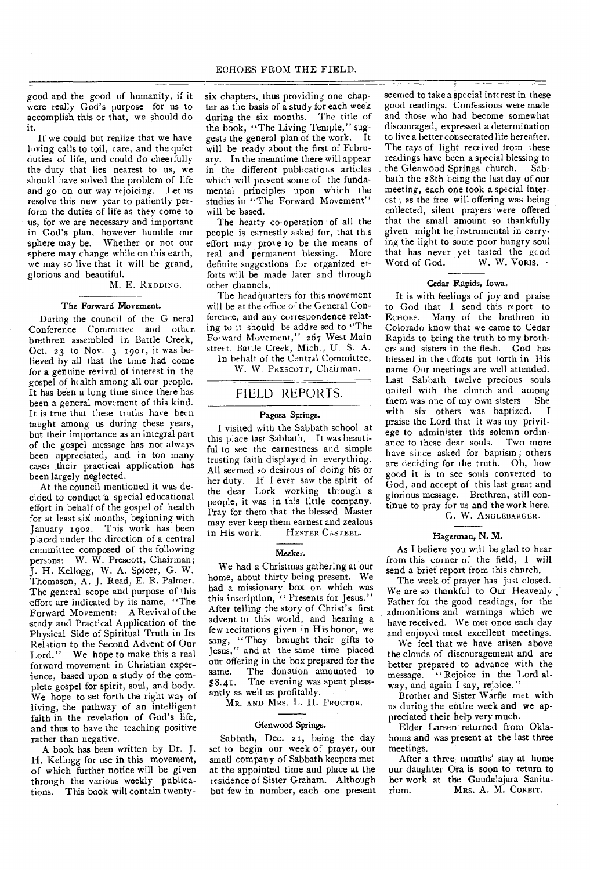good and the good of humanity, if it were really God's purpose for us to accomplish this or that, we should do it.

If we could but realize that we have loving calls to toil, care, and the quiet duties of life, and could do cheerfully the duty that lies nearest to us, we should have solved the problem of life and go on our way rejoicing. Let us resolve this new year to patiently perform the duties of life as they come to us, for we are necessary and important in God's plan, however humble our sphere may be. Whether or not our sphere may change while on this earth, we may so live that it will be grand, glorious and beautiful.

M. E. REDOING.

# The Forward Movement.

During the council of the G neral Conference Committee and other. brethren assembled in Battle Creek, Oct. 23 to Nov. 3 1901, it was believed by all that the time had come for a genuine revival of interest in the gospel of ht alth among all our people. It has been a long time since there has been a general movement of this kind. It is true that these truths have been taught among us during these years, but their importance as an integral part of the gospel message has not always been appreciated, and in too many cases .their practical application has been largely neglected.

At the council mentioned it was decided to conduct 'a special educational effort in behalf of the gospel of health for at least siz months, beginning with January 1902. This work has been placed under the direction of a central committee composed of the following persons: W. W. Prescott, Chairman; J. H. Kellogg, W. A. Spicer, G. W. Thomason, A. J. Read, E. R. Palmer. The general scope and purpose of this effort are indicated by its name, "The Forward Movement: A Revival of the study and Practical Application of the Physical Side of Spiritual Truth in Its Relation to the Second Advent of Our Lord." We hope to make this a real forward movement in Christian experience, based upon a study of the complete gospel for spirit, soul, and body. We hope to set forth the right way of living, the pathway of an intelligent faith in the revelation of God's life, and thus to have the teaching positive rather than negative.

A book has been written by Dr. J. H. Kellogg for use in this movement, of which further notice will be given through the various weekly publications. This book will contain twentysix chapters, thus providing one chapter as the basis of a study for each week during the six months. The title of the book, "The Living Temple," suggests the general plan of the work. It will be ready about the first of February. In the meantime there will appear in the different publicatiors articles which will present some of the fundamental principles upon which the studies in "The Forward Movement" will be based.

The hearty co-operation of all the people is earnestly asked for, that this effort may prove to be the means of real and permanent blessing. More definite suggestions for organized efforts will be made later and through other channels.

The headquarters for this movement will be at the office of the General Conference, and any correspondence relating to it should be addre sed to "The Forward Movement," 267 West Main street, Battle Creek, Mich., U. S. A.

In behalf of the Central Committee,

W. W. PRESCOTT, Chairman.

# FIELD REPORTS.

#### Pagosa Springs.

I visited with the Sabbath school at this place last Sabbath. It was beautiful to see the earnestness and simple trusting faith displayed in everything. All seemed so desirous of doing his or her duty. If I ever saw the spirit of the dear Lork working through a people, it was in this little company. Pray for them that the blessed Master may ever keep them earnest and zealous<br>in His work. HESTER CASTEEL. HESTER CASTEEL.

Meeker.

We had a Christmas gathering at our home, about thirty being present. We had a missionary box on which was this inscription, " Presents for Jesus." After telling the story of Christ's first advent to this world, and hearing a few recitations given in His honor, we sang, "They brought their gifts to Jesus," and at the same time placed our offering in the box prepared for the same. The donation amounted to \$8.41. The evening was spent pleasantly as well as profitably.

MR. AND MRS. L. H. PROCTOR.

## Glenwood Springs.

Sabbath, Dec. 21, being the day set to begin our week of prayer, our small company of Sabbath keepers met at the appointed time and place at the residence of Sister Graham. Although but few in number, each one present

seemed to take a special interest in these good readings. Confessions were made and those who bad become somewhat discouraged, expressed a determination to live a better consecrated life hereafter. The rays of light received from these readings have been a special blessing to<br>the Glenwood Springs church. Sabthe Glenwood Springs church. bath the 28th being the last day of our meeting, each one took a special interest ; as the free will offering was being collected, silent prayers were offered that the small amount so thankfully given might be instrumental in carrying the light to some poor hungry soul that has never yet tasted the gcod Word of God. W. W. VORIS.

#### Cedar Rapids, Iowa.

It is with feelings of joy and praise to God that I send this report to<br>ECHOES. Many of the brethren in Many of the brethren in Colorado know that we came to Cedar Rapids to bring the truth to my brothers and sisters in the flesh. God has blessed in the efforts put forth in His name Our meetings are well attended. Last Sabbath twelve precious souls united with the church and among them was one of my own sisters. She with six others was baptized. I praise the Lord that it was my privilege to administer this solemn ordin-<br>ance to these dear souls. Two more ance to these dear souls. have since asked for baptism; others are deciding for the truth. Oh, how good it is to see souls converted to God, and accept of this last great and glorious message. Brethren, still continue to pray for us and the work here.

G. W. ANGLEBARGER.

# Hagerman, N. M.

As I believe you will be glad to hear from this corner of the field, I will send a brief report from this church.

The week of prayer has just closed. We are so thankful to Our Heavenly, Father for the good readings, for the admonitions and warnings which we have received. We met once each day and enjoyed most excellent meetings.

We feel that we have arisen above the clouds of discouragement and are better prepared to advance with the message. "Rejoice in the Lord alway, and again I say, rejoice."

Brother and Sister Warfle met with us during the entire week and we appreciated their help very much.

Elder Larsen returned from Oklahoma and was present at the last three meetings.

After a three months' stay at home our daughter Ora is soon to return to her work at the Gaudalajara Sanita-<br>rium. MRS. A. M. CORBIT. MRS. A. M. CORBIT.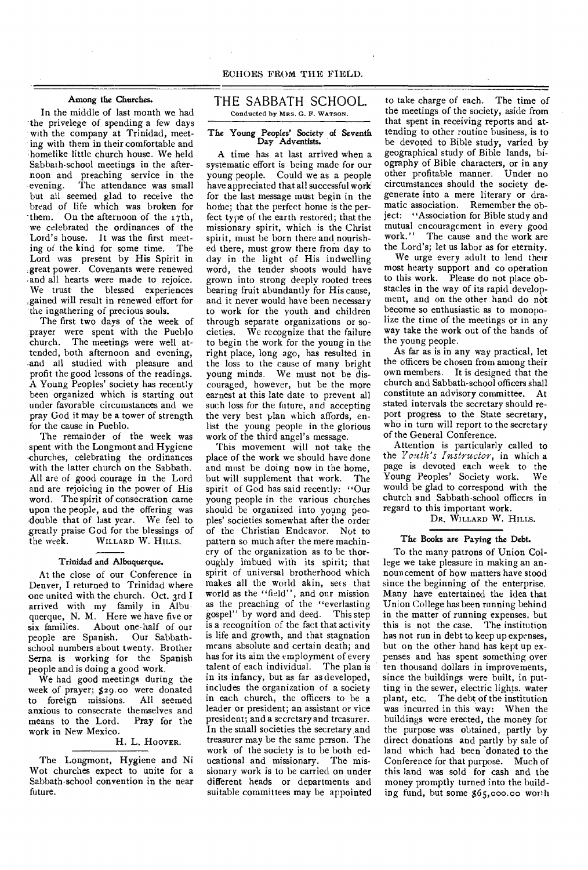# Among the Churches.

In the middle of last month we had the privelege of spending a few days with the company at Trinidad, meeting with them in their comfortable and -homelike little church house. We held Sabbath-school meetings in the afternoon and preaching service in the evening. The attendance was small but all seemed glad to receive the bread of life which was broken for them. On the afternoon of the 17th, we celebrated the ordinances of the Lord's house. It was the first meeting of the kind for some time. The Lord was present by His Spirit in .great power. Covenants were renewed .and all hearts were made to rejoice. We trust the blessed experiences .gained will result in renewed effort for the ingathering of precious souls.

The first two days of the week of prayer were spent with the Pueblo church. The meetings were well attended, both afternoon and evening, and all studied with pleasure and profit the good lessons of the readings. A Young Peoples' society has recently been organized which is starting out under favorable circumstances and we pray God it may be a tower of strength for the cause in Pueblo.

The remainder of the week was spent with the Longmont and Hygiene churches, celebrating the ordinances with the latter church on the Sabbath. All are of good courage in the Lord and are rejoicing in the power of His word. The spirit of consecration came upon the people, and the offering was double that of last year. We feel to greatly praise God for the blessings of<br>the week. WILLARD W. HILLS. WILLARD W. HILLS.

#### Trinidad and Albuquerque.

At the close of our Conference in Denver, I returned to Trinidad where one united with the church. Oct. 3rd I arrived with my family in Albuquerque, N. M. Here we have five or<br>six families. About one half of our About one-half of our people are Spanish. Our Sabbathschool numbers about twenty. Brother Serna is working for the Spanish people and is doing a good work.

We had good meetings during the week of prayer; \$29.00 were donated<br>to foreign missions. All seemed to foreign missions. anxious to consecrate themselves and<br>means to the Lord. Pray for the means to the Lord. work in New Mexico.

## H. L. HOOVER.

The Longmont, Hygiene and Ni Wot churches expect to unite for a Sabbath-school convention in the near future.

## THE SABBATH SCHOOL. Conducted by MRS. G. F. WATSON.

### The Young Peoples' Society of Seventh Day Adventists.

A time has at last arrived when a systematic effort is being made for our young people. Could we as a people have appreciated that all successful work for the last message must begin in the home; that the perfect home is the perfect type of the earth restored; that the missionary spirit, which is the Christ spirit, must be born there and nourished there, must grow there from day to day in the light of His indwelling word, the tender shoots would have grown into strong deeply rooted trees bearing fruit abundantly for His cause, and it never would have been necessary to work for the youth and children through separate organizations or societies. We recognize that the failure to begin the work for the young in the right place, long ago, has resulted in the loss to the cause of many bright young minds. We must not be discouraged, however, but be the more earnest at this late date to prevent all such loss for the future, and accepting the very best plan which affords, enlist the young people in the glorious work of the third angel's message.

This movement will not take the place of the work we should have done and must be doing now in the home, but will supplement that work. The spirit of God has said recently: "Our young people in the various churches should be organized into young peoples' societies somewhat after the order of the Christian Endeavor. Not to pattern so much after the mere machinery of the organization as to be thoroughly imbued with its spirit; that spirit of universal brotherhood which makes all the world akin, sees that world as the "field", and our mission as the preaching of the "everlasting gospel" by word and deed. This step is a recognition of the fact that activity is life and growth, and that stagnation means absolute and certain death; and has for its aim the employment of every talent of each individual. The plan is in its infancy, but as far as developed, includes the organization of a society in each church, the officers to be a leader or president; an assistant or vice president; and a secretary and treasurer. In the small societies the secretary and treasurer may be the same person. The work of the society is to be both ed-<br>ucational and missionary. The misucational and missionary. sionary work is to be carried on under different heads or departments and suitable committees may be appointed

to take charge of each. The time of the meetings of the society, aside from that spent in receiving reports and attending to other routine business, is to be devoted to Bible study, varied by geographical study of Bible lands, biography of Bible characters, or in any other profitable manner. Under no circumstances should the society degenerate into a mere literary or dramatic association. Remember the object: "Association for Bible study and mutual encouragement in every good work." The cause and the work are the Lord's; let us labor as for eternity.

We urge every adult to lend their most hearty support and co operation to this work. Please do not place obstacles in the way of its rapid development, and on the other hand do not become so enthusiastic as to monopolize the time of the meetings or in any way take the work out of the hands of the young people.

As far as is in any way practical, let the officers be chosen from among their own members. It is designed that the church and Sabbath-school officers shall constitute an advisory committee. At stated intervals the secretary should report progress to the State secretary, who in turn will report to the secretary of the General Conference.

Attention is particularly called to the *Youth's Instructor,* in which a page is devoted each week to the Young Peoples' Society work. We would be glad to correspond with the church and Sabbath-school officers in regard to this important work.

# DR. WILLARD W. HILLS.

## The Books are Paying the Debt.

To the many patrons of Union College we take pleasure in making an announcement of how matters have stood since the beginning of the enterprise. Many have entertained the idea that Union College has been running behind in the matter of running expenses, but this is not the case. The institution has not run in debt to keep up expenses, but on the other hand has kept up expenses and has spent something over ten thousand dollars in improvements, since the buildings were built, in putting in the sewer, electric lights. water plant, etc. The debt of the institution was incurred in this way: When the buildings were erected, the money for the purpose was obtained, partly by direct donations and partly by sale of land which had been donated to the Conference for that purpose. Much of this land was sold for cash and the money promptly turned into the building fund, but some \$65,000.00 worth